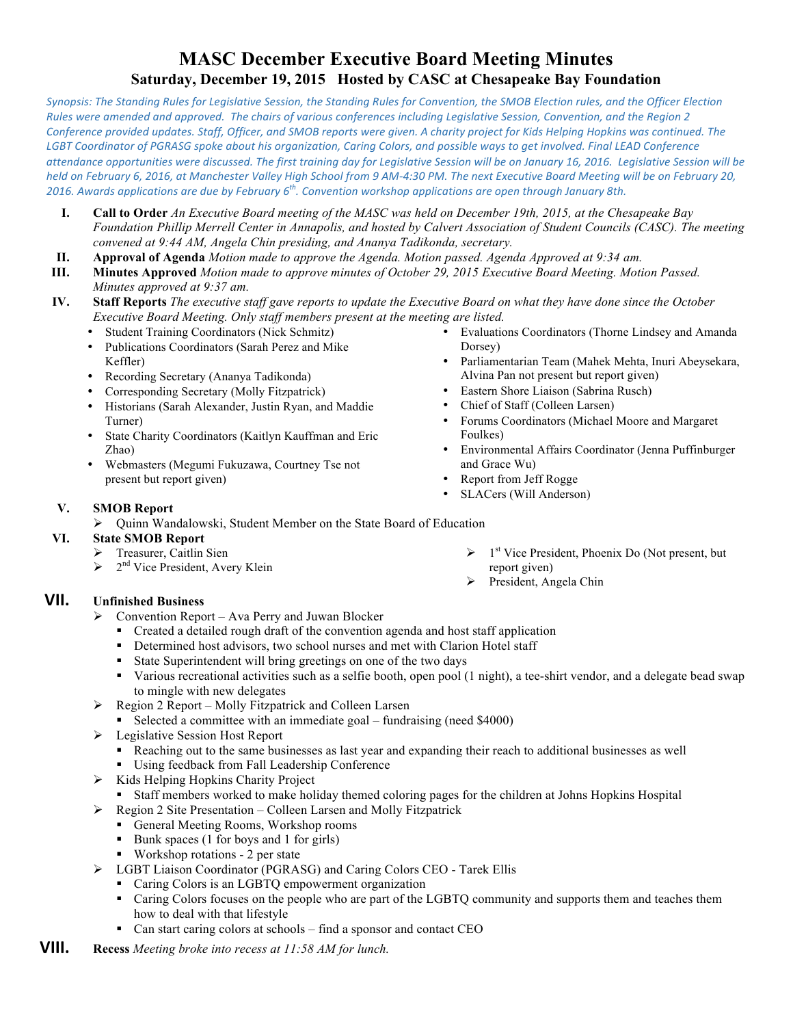# **MASC December Executive Board Meeting Minutes Saturday, December 19, 2015 Hosted by CASC at Chesapeake Bay Foundation**

Synopsis: The Standing Rules for Legislative Session, the Standing Rules for Convention, the SMOB Election rules, and the Officer Election *Rules* were amended and approved. The chairs of various conferences including Legislative Session, Convention, and the Region 2 Conference provided updates. Staff, Officer, and SMOB reports were given. A charity project for Kids Helping Hopkins was continued. The LGBT Coordinator of PGRASG spoke about his organization, Caring Colors, and possible ways to get involved. Final LEAD Conference attendance opportunities were discussed. The first training day for Legislative Session will be on January 16, 2016. Legislative Session will be held on February 6, 2016, at Manchester Valley High School from 9 AM-4:30 PM. The next Executive Board Meeting will be on February 20, *2016.* Awards applications are due by February 6<sup>th</sup>. Convention workshop applications are open through January 8th.

- **I. Call to Order** *An Executive Board meeting of the MASC was held on December 19th, 2015, at the Chesapeake Bay Foundation Phillip Merrell Center in Annapolis, and hosted by Calvert Association of Student Councils (CASC). The meeting convened at 9:44 AM, Angela Chin presiding, and Ananya Tadikonda, secretary.*
- **II. Approval of Agenda** *Motion made to approve the Agenda. Motion passed. Agenda Approved at 9:34 am.*
- **III. Minutes Approved** *Motion made to approve minutes of October 29, 2015 Executive Board Meeting. Motion Passed. Minutes approved at 9:37 am.*
- **IV. Staff Reports** *The executive staff gave reports to update the Executive Board on what they have done since the October Executive Board Meeting. Only staff members present at the meeting are listed.* 
	- Student Training Coordinators (Nick Schmitz)
	- Publications Coordinators (Sarah Perez and Mike Keffler)
	- Recording Secretary (Ananya Tadikonda)
	- Corresponding Secretary (Molly Fitzpatrick)
	- Historians (Sarah Alexander, Justin Ryan, and Maddie Turner)
	- State Charity Coordinators (Kaitlyn Kauffman and Eric Zhao)
	- Webmasters (Megumi Fukuzawa, Courtney Tse not present but report given)
- Evaluations Coordinators (Thorne Lindsey and Amanda Dorsey)
- Parliamentarian Team (Mahek Mehta, Inuri Abeysekara, Alvina Pan not present but report given)
- Eastern Shore Liaison (Sabrina Rusch)<br>• Chief of Staff (Colleen Larsen)
- Chief of Staff (Colleen Larsen)
- Forums Coordinators (Michael Moore and Margaret Foulkes)
- Environmental Affairs Coordinator (Jenna Puffinburger and Grace Wu)
- Report from Jeff Rogge
- SLACers (Will Anderson)
- **V. SMOB Report**   $\triangleright$  Ouinn Wandalowski, Student Member on the State Board of Education

#### **VI. State SMOB Report**

- Treasurer, Caitlin Sien
- $\geq 2^{nd}$  Vice President, Avery Klein
- **VII. Unfinished Business** 
	- $\triangleright$  Convention Report Ava Perry and Juwan Blocker
		- Created a detailed rough draft of the convention agenda and host staff application
		- Determined host advisors, two school nurses and met with Clarion Hotel staff
		- § State Superintendent will bring greetings on one of the two days
		- § Various recreational activities such as a selfie booth, open pool (1 night), a tee-shirt vendor, and a delegate bead swap to mingle with new delegates
	- $\triangleright$  Region 2 Report Molly Fitzpatrick and Colleen Larsen
		- Selected a committee with an immediate goal fundraising (need \$4000)
	- Ø Legislative Session Host Report
		- § Reaching out to the same businesses as last year and expanding their reach to additional businesses as well
		- Using feedback from Fall Leadership Conference
	- $\triangleright$  Kids Helping Hopkins Charity Project
		- § Staff members worked to make holiday themed coloring pages for the children at Johns Hopkins Hospital
	- $\triangleright$  Region 2 Site Presentation Colleen Larsen and Molly Fitzpatrick
		- General Meeting Rooms, Workshop rooms
		- Bunk spaces (1 for boys and 1 for girls)
		- Workshop rotations 2 per state
	- Ø LGBT Liaison Coordinator (PGRASG) and Caring Colors CEO Tarek Ellis
		- Caring Colors is an LGBTQ empowerment organization
		- Caring Colors focuses on the people who are part of the LGBTQ community and supports them and teaches them how to deal with that lifestyle
		- Can start caring colors at schools find a sponsor and contact CEO
- **VIII. Recess** *Meeting broke into recess at 11:58 AM for lunch.*
- $\triangleright$  1<sup>st</sup> Vice President, Phoenix Do (Not present, but report given)
- $\triangleright$  President, Angela Chin